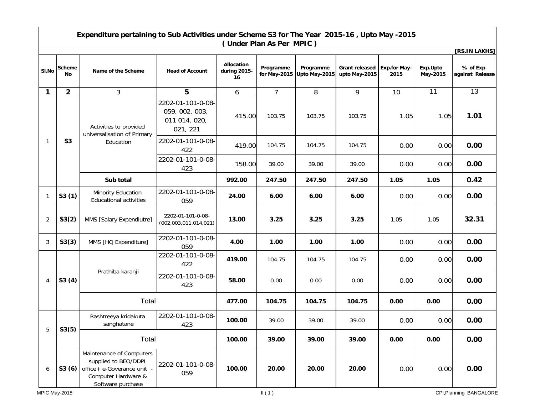| Expenditure pertaining to Sub Activities under Scheme S3 for The Year 2015-16, Upto May -2015<br>(Under Plan As Per MPIC) |                      |                                                                                                                                    |                                                                  |                                  |                           |                            |                                        |                             |                      |                             |
|---------------------------------------------------------------------------------------------------------------------------|----------------------|------------------------------------------------------------------------------------------------------------------------------------|------------------------------------------------------------------|----------------------------------|---------------------------|----------------------------|----------------------------------------|-----------------------------|----------------------|-----------------------------|
|                                                                                                                           |                      |                                                                                                                                    |                                                                  |                                  |                           |                            |                                        |                             |                      | [RS.IN LAKHS]               |
| SI.No                                                                                                                     | <b>Scheme</b><br>No. | Name of the Scheme                                                                                                                 | <b>Head of Account</b>                                           | Allocation<br>during 2015-<br>16 | Programme<br>for May-2015 | Programme<br>Upto May-2015 | <b>Grant released</b><br>upto May-2015 | <b>Exp.for May-</b><br>2015 | Exp.Upto<br>May-2015 | % of Exp<br>against Release |
| 1                                                                                                                         | $\overline{2}$       | 3                                                                                                                                  | 5                                                                | 6                                | 7                         | 8                          | 9                                      | 10                          | 11                   | 13                          |
| $\mathbf{1}$                                                                                                              | <b>S3</b>            | Activities to provided<br>universalisation of Primary<br>Education                                                                 | 2202-01-101-0-08-<br>059, 002, 003,<br>011 014, 020,<br>021, 221 | 415.00                           | 103.75                    | 103.75                     | 103.75                                 | 1.05                        | 1.05                 | 1.01                        |
|                                                                                                                           |                      |                                                                                                                                    | 2202-01-101-0-08-<br>422                                         | 419.00                           | 104.75                    | 104.75                     | 104.75                                 | 0.00                        | 0.00                 | 0.00                        |
|                                                                                                                           |                      |                                                                                                                                    | 2202-01-101-0-08-<br>423                                         | 158.00                           | 39.00                     | 39.00                      | 39.00                                  | 0.00                        | 0.00                 | 0.00                        |
|                                                                                                                           |                      | Sub total                                                                                                                          |                                                                  | 992.00                           | 247.50                    | 247.50                     | 247.50                                 | 1.05                        | 1.05                 | 0.42                        |
| $\mathbf{1}$                                                                                                              | S3(1)                | Minority Education<br><b>Educational activities</b>                                                                                | 2202-01-101-0-08-<br>059                                         | 24.00                            | 6.00                      | 6.00                       | 6.00                                   | 0.00                        | 0.00                 | 0.00                        |
| $\overline{2}$                                                                                                            | S3(2)                | MMS [Salary Expendiutre]                                                                                                           | 2202-01-101-0-08-<br>(002,003,011,014,021)                       | 13.00                            | 3.25                      | 3.25                       | 3.25                                   | 1.05                        | 1.05                 | 32.31                       |
| 3                                                                                                                         | S3(3)                | MMS [HQ Expenditure]                                                                                                               | 2202-01-101-0-08-<br>059                                         | 4.00                             | 1.00                      | 1.00                       | 1.00                                   | 0.00                        | 0.00                 | 0.00                        |
| $\overline{4}$                                                                                                            | S3(4)                | Prathiba karanji                                                                                                                   | 2202-01-101-0-08-<br>422                                         | 419.00                           | 104.75                    | 104.75                     | 104.75                                 | 0.00                        | 0.00                 | 0.00                        |
|                                                                                                                           |                      |                                                                                                                                    | 2202-01-101-0-08-<br>423                                         | 58.00                            | 0.00                      | 0.00                       | 0.00                                   | 0.00                        | 0.00                 | 0.00                        |
|                                                                                                                           |                      | Total                                                                                                                              |                                                                  | 477.00                           | 104.75                    | 104.75                     | 104.75                                 | 0.00                        | 0.00                 | 0.00                        |
| 5                                                                                                                         | S3(5)                | Rashtreeya kridakuta<br>sanghatane                                                                                                 | 2202-01-101-0-08-<br>423                                         | 100.00                           | 39.00                     | 39.00                      | 39.00                                  | 0.00                        | 0.00                 | 0.00                        |
|                                                                                                                           |                      | Total                                                                                                                              |                                                                  | 100.00                           | 39.00                     | 39.00                      | 39.00                                  | 0.00                        | 0.00                 | 0.00                        |
| 6                                                                                                                         |                      | Maintenance of Computers<br>supplied to BEO/DDPI<br>S3 (6) office + e-Goverance unit -<br>Computer Hardware &<br>Software purchase | 2202-01-101-0-08-<br>059                                         | 100.00                           | 20.00                     | 20.00                      | 20.00                                  | 0.00                        | 0.00                 | 0.00                        |